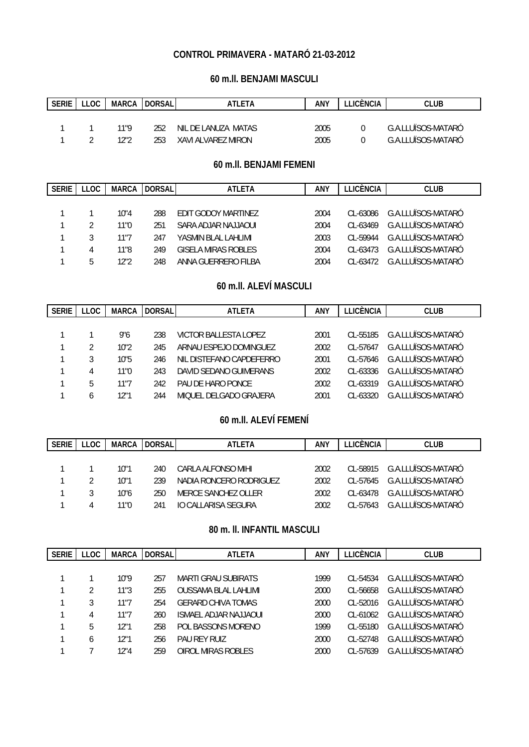## **CONTROL PRIMAVERA - MATARÓ 21-03-2012**

### **60 m.ll. BENJAMI MASCULI**

| <b>SERIE</b> | LOC | <b>MARCA</b> | <b>DORSAL</b> | ATLETA              | ANY  | LICÈNCIA | CLUB               |
|--------------|-----|--------------|---------------|---------------------|------|----------|--------------------|
|              |     |              |               |                     |      |          |                    |
|              |     |              | 252           | NIL DE LANUZA MATAS | 2005 |          | G.A.LLUÏSOS-MATARÓ |
|              |     | 1 ገ" ገ       | 253           | XAVI ALVAREZ MIRON  | 2005 |          | G.A.LLUÏSOS-MATARÓ |

### **60 m.ll. BENJAMI FEMENI**

| <b>SERIE</b> | LLOC. | <b>MARCA</b> | <b>DORSAL</b> | <b>ATLETA</b>              | <b>ANY</b> | LLICÈNCIA    | <b>CLUB</b>          |
|--------------|-------|--------------|---------------|----------------------------|------------|--------------|----------------------|
|              |       |              |               |                            |            |              |                      |
|              |       | 10"4         | 288           | <b>FDIT GODOY MARTINEZ</b> | 2004       | $C1 - 63086$ | G.A.I I UÏSOS-MATARÓ |
|              |       | 11"0         | 251           | SARA ADJAR NATIAOUL        | 2004       | $CL - 63469$ | G.A.I I UÏSOS-MATARÓ |
|              |       | 11"7         | 247           | YASMIN BI AL LAHLIMI       | 2003       | $CI - 59944$ | G.A.I I UÏSOS-MATARÓ |
|              | 4     | 11"8         | 249           | <b>GISELA MIRAS ROBLES</b> | 2004       | $CI - 63473$ | G.A.LLUÏSOS-MATARÓ   |
|              | b.    | 12"2         | 248           | ANNA GUERRERO FILBA        | 2004       | $CL - 63472$ | G.A.I LUÏSOS-MATARÓ  |

### **60 m.ll. ALEVÍ MASCULI**

| <b>SERIE</b> | <b>LLOC</b> | <b>MARCA</b> | <b>DORSAL</b> | <b>ATLETA</b>            | ANY  | <b>LLICÈNCIA</b> | <b>CLUB</b>          |
|--------------|-------------|--------------|---------------|--------------------------|------|------------------|----------------------|
|              |             |              |               |                          |      |                  |                      |
|              |             | 9"6          | 238           | VICTOR BALLESTA LOPEZ    | 2001 | $CI - 55185$     | G.A.LLUÏSOS-MATARÓ   |
|              | 2           | 10"2         | 245           | ARNAU ESPEJO DOMINGUEZ   | 2002 | $CI - 57647$     | G.A.I LUÏSOS-MATARÓ  |
|              | 3           | 10"5         | 246           | NIL DISTEFANO CAPDEFERRO | 2001 | $CI - 57646$     | G.A.I I UÏSOS-MATARÓ |
|              | 4           | 11"0         | 243           | DAVID SEDANO GUIMERANS   | 2002 | $CI - 63336$     | G.A.I LUÏSOS-MATARÓ  |
|              | 5           | 11"7         | 242           | PAU DE HARO PONCE        | 2002 | $CL - 63319$     | G.A.I LUÏSOS-MATARÓ  |
|              | h           | 12"1         | 244           | MIOUEL DELGADO GRAJERA   | 2001 | $CL - 63320$     | G.A.I LUÏSOS-MATARÓ  |

## **60 m.ll. ALEVÍ FEMENÍ**

| <b>SERIE</b> | LLOC | MARCA | <b>DORSAL</b> | <b>ATLETA</b>           | ANY  | I I ICÈNCIA. | <b>CLUB</b>                        |
|--------------|------|-------|---------------|-------------------------|------|--------------|------------------------------------|
|              |      |       |               |                         |      |              |                                    |
|              |      | 10"1  | 240           | CARLA ALFONSO MIHL      | 2002 |              | CL-58915 G.A.I LUÏSOS-MATARÓ       |
|              |      | 10"1  | 239           | NADIA RONCERO RODRIGUEZ | 2002 |              | $CI - 57645$ $G A II UISOS-MATARO$ |
|              |      | 10"6  | 250           | MERCE SANCHEZ OLLER     | 2002 | CL-63478     | G.A.HUÏSOS-MATARÓ                  |
|              |      | 11"በ  | 241           | TO CALLARISA SEGURA     | 2002 | $CI - 57643$ | G.A.HUÏSOS-MATARÓ                  |

### **80 m. ll. INFANTIL MASCULI**

| <b>SERIE</b> | <b>LLOC</b> | <b>MARCA</b> | <b>DORSAL</b> | <b>ATLETA</b>                | ANY  | <b>LLICÈNCIA</b> | <b>CLUB</b>          |
|--------------|-------------|--------------|---------------|------------------------------|------|------------------|----------------------|
|              |             |              |               |                              |      |                  |                      |
|              |             | 10"9         | 257           | MARTI GRAU SUBIRATS          | 1999 | $CI - 54534$     | G.A.I I UÏSOS-MATARÓ |
|              |             | 11"3         | 255           | <b>OUSSAMA BLAL LAHLIMI</b>  | 2000 | $CI - 56658$     | G.A.LLUÏSOS-MATARÓ   |
|              |             | 11"7         | 254           | <b>GERARD CHIVA TOMAS</b>    | 2000 | $CI - 52016$     | G.A.LLUÏSOS-MATARÓ   |
|              | 4           | 11"7         | 260           | <b>ISMAEL ADJAR NAJJAOUI</b> | 2000 | $CI - 61062$     | G.A.LLUÏSOS-MATARÓ   |
|              | 5           | 12"1         | 258           | POL BASSONS MORENO           | 1999 | $CI - 55180$     | G.A.LLUÏSOS-MATARÓ   |
|              | b           | 12"1         | 256           | <b>PAU REY RUIZ</b>          | 2000 | $CI - 52748$     | G.A.I I UÏSOS-MATARÓ |
|              |             | 12"4         | 259           | OIROL MIRAS ROBLES           | 2000 | $CI - 57639$     | G.A.LLUÏSOS-MATARÓ   |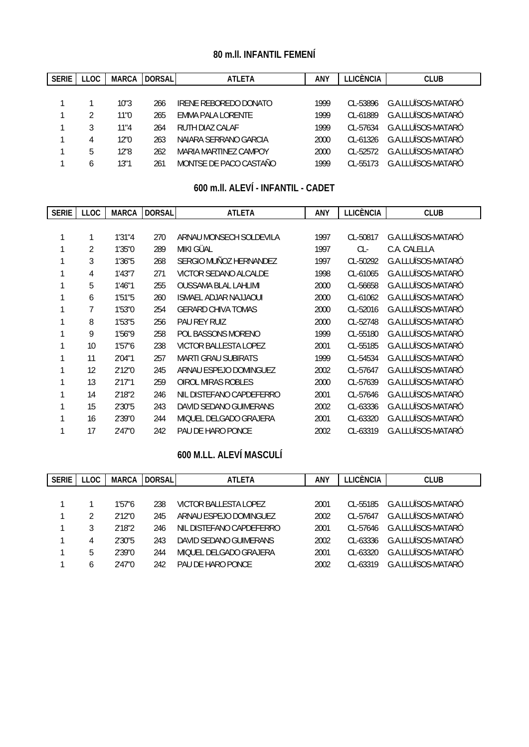# **80 m.ll. INFANTIL FEMENÍ**

| <b>SERIE</b> | <b>LLOC</b>  | <b>MARCA</b> | <b>DORSAL</b> | <b>ATLETA</b>          | ANY  | <b>TICÈNCIA</b> | <b>CLUB</b>         |
|--------------|--------------|--------------|---------------|------------------------|------|-----------------|---------------------|
|              |              |              |               |                        |      |                 |                     |
|              |              | 10"3         | 266           | IRENE REBOREDO DONATO  | 1999 | $CI - 53896$    | G.A.LLUÏSOS-MATARÓ  |
|              |              | 11"0         | 265           | EMMA PALA LORENTE      | 1999 | CL-61889        | G.A.LLUÏSOS-MATARÓ  |
|              | 3            | 11"4         | 264           | RUTH DIAZ CALAF        | 1999 | $CI - 57634$    | G.A.LLUÏSOS-MATARÓ  |
|              |              | 12"0         | 263           | NAIARA SERRANO GARCIA  | 2000 | $CI - 61326$    | G.A.I LUÏSOS-MATARÓ |
|              | 5            | 12"8         | 262           | MARIA MARTINEZ CAMPOY  | 2000 | $CI - 52572$    | G.A.I LUÏSOS-MATARÓ |
|              | <sub>b</sub> | 13"1         | 261           | MONTSE DE PACO CASTAÑO | 1999 | $CI - 55173$    | G.A.I LUÏSOS-MATARÓ |

## **600 m.ll. ALEVÍ - INFANTIL - CADET**

| <b>SERIE</b> | <b>LLOC</b> | <b>MARCA</b> | <b>DORSAL</b> | <b>ATLETA</b>                | <b>ANY</b> | <b>LLICÈNCIA</b> | <b>CLUB</b>        |
|--------------|-------------|--------------|---------------|------------------------------|------------|------------------|--------------------|
|              |             |              |               |                              |            |                  |                    |
| 1            |             | 1'31"4       | 270           | ARNAU MONSECH SOLDEVILA      | 1997       | CL-50817         | G.A.LLUÏSOS-MATARÓ |
|              | 2           | 1'35"0       | 289           | MIKI GÜAL                    | 1997       | $CL-$            | C.A. CALELLA       |
|              | 3           | 1'36"5       | 268           | SERGIO MUÑOZ HERNANDEZ       | 1997       | CL-50292         | G.A.LLUÏSOS-MATARÓ |
|              | 4           | 1'43''7      | 271           | VICTOR SEDANO ALCALDE        | 1998       | CL-61065         | G.A.LLUÏSOS-MATARÓ |
|              | 5           | 1'46"1       | 255           | <b>OUSSAMA BLAL LAHLIMI</b>  | 2000       | CL-56658         | G.A.LLUÏSOS-MATARÓ |
|              | 6           | 1'51"5       | 260           | <b>ISMAEL ADJAR NAJJAOUI</b> | 2000       | CL-61062         | G.A.LLUÏSOS-MATARÓ |
|              | 7           | 1'53"0       | 254           | <b>GERARD CHIVA TOMAS</b>    | 2000       | CL-52016         | G.A.LLUÏSOS-MATARÓ |
|              | 8           | 1'53"5       | 256           | <b>PAU REY RUIZ</b>          | 2000       | CL-52748         | G.A.LLUÏSOS-MATARÓ |
|              | 9           | 1'56"9       | 258           | POL BASSONS MORENO           | 1999       | CL-55180         | G.A.LLUÏSOS-MATARÓ |
|              | 10          | 1'57''6      | 238           | <b>VICTOR BALLESTA LOPEZ</b> | 2001       | CL-55185         | G.A.LLUÏSOS-MATARÓ |
|              | 11          | 2'04"1       | 257           | <b>MARTI GRAU SUBIRATS</b>   | 1999       | CL-54534         | G.A.LLUÏSOS-MATARÓ |
|              | 12          | 2'12"0       | 245           | ARNAU ESPEJO DOMINGUEZ       | 2002       | CL-57647         | G.A.LLUÏSOS-MATARÓ |
|              | 13          | 2'17"1       | 259           | OIROL MIRAS ROBLES           | 2000       | CL-57639         | G.A.LLUÏSOS-MATARÓ |
|              | 14          | 2'18"2       | 246           | NIL DISTEFANO CAPDEFERRO     | 2001       | CL-57646         | G.A.LLUÏSOS-MATARÓ |
|              | 15          | 2'30"5       | 243           | DAVID SEDANO GUIMERANS       | 2002       | CL-63336         | G.A.LLUÏSOS-MATARÓ |
|              | 16          | 2'39"0       | 244           | MIQUEL DELGADO GRAJERA       | 2001       | CL-63320         | G.A.LLUÏSOS-MATARÓ |
|              | 17          | 2'47"0       | 242           | PAU DE HARO PONCE            | 2002       | CL-63319         | G.A.LLUÏSOS-MATARÓ |

# **600 M.LL. ALEVÍ MASCULÍ**

| <b>SERIE</b> | <b>LLOC</b> | <b>MARCA</b> | <b>DORSAL</b> | <b>ATLETA</b>            | <b>ANY</b> | <b>LLICÈNCIA</b> | <b>CLUB</b>          |
|--------------|-------------|--------------|---------------|--------------------------|------------|------------------|----------------------|
|              |             |              |               |                          |            |                  |                      |
|              |             | 1'57''6      | 238           | VICTOR BALLESTA LOPEZ    | 2001       | $CI - 55185$     | G.A.LLUÏSOS-MATARÓ   |
|              |             | 2'12"0       | 245           | ARNAU ESPEJO DOMINGUEZ   | 2002       | $CI - 57647$     | G.A.I I UÏSOS-MATARÓ |
|              |             | 2'18"2       | 246           | NIL DISTEFANO CAPDEFERRO | 2001       | CL-57646         | G.A.I LUÏSOS-MATARÓ  |
|              | 4           | 2'30"5       | 243           | DAVID SEDANO GUIMERANS   | 2002       | $CI - 63336$     | G.A.I LUÏSOS-MATARÓ  |
|              | 5           | 2'39"0       | 244           | MIOUEL DELGADO GRAJERA   | 2001       | $CL - 63320$     | G.A.I I UÏSOS-MATARÓ |
|              | b           | 2'47"0       | 242           | PAU DE HARO PONCE        | 2002       | $CL - 63319$     | G.A.I I UÏSOS-MATARÓ |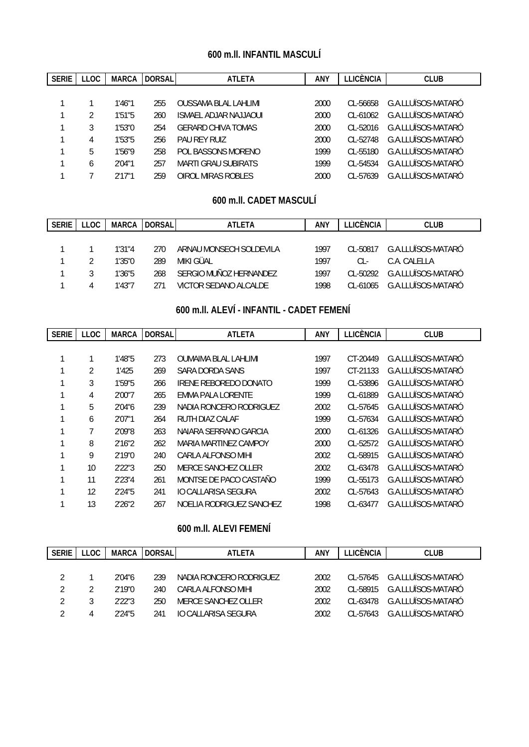## **600 m.ll. INFANTIL MASCULÍ**

| <b>SERIE</b> | <b>LLOC</b> | <b>MARCA</b> | <b>DORSAL</b> | <b>ATLETA</b>               | ANY  | <b>LLICÈNCIA</b> | <b>CLUB</b>          |
|--------------|-------------|--------------|---------------|-----------------------------|------|------------------|----------------------|
|              |             |              |               |                             |      |                  |                      |
|              |             | 1'46"1       | 255           | <b>OUSSAMA BLAL LAHLIMI</b> | 2000 | $CI - 56658$     | G.A.LLUÏSOS-MATARÓ   |
|              |             | 1'51''5      | 260           | ISMAEL ADJAR NAJJAOUI       | 2000 | $CI - 61062$     | G.A.LLUÏSOS-MATARÓ   |
|              | 3           | 1'53"0       | 254           | <b>GERARD CHIVA TOMAS</b>   | 2000 | $CI - 52016$     | G.A.LLUÏSOS-MATARÓ   |
|              | 4           | 1'53"5       | 256           | PAU RFY RUIZ                | 2000 | $CI - 52748$     | G.A.LLUÏSOS-MATARÓ   |
|              | 5           | 1'56"9       | 258           | POL BASSONS MORENO          | 1999 | $CI - 55180$     | G.A.LLUÏSOS-MATARÓ   |
|              | h           | 2'04"1       | 257           | <b>MARTI GRAU SUBIRATS</b>  | 1999 | $CI - 54534$     | G.A.LLUÏSOS-MATARÓ   |
|              |             | 2'17"1       | 259           | OIROL MIRAS ROBLES          | 2000 | $CI - 57639$     | G.A.I I UÏSOS-MATARÓ |

## **600 m.ll. CADET MASCULÍ**

| <b>SERIE</b> | <b>LLOC</b> |         | MARCA IDORSALI | <b>ATLETA</b>           | <b>ANY</b> | <b>TEICÈNCIA</b> | <b>CLUB</b>        |
|--------------|-------------|---------|----------------|-------------------------|------------|------------------|--------------------|
|              |             |         |                |                         |            |                  |                    |
|              |             | 1'31''4 | 270.           | ARNAU MONSECH SOLDEVILA | 1997       | $CL - 50817$     | G.A.LLUÏSOS-MATARÓ |
|              |             | 1'35"0  | 289            | MIKI GÜAL               | 1997       | CL-              | C.A. CALELLA       |
|              |             | 1'36"5  | 268            | SERGIO MUÑOZ HERNANDEZ  | 1997       | $CL - 50292$     | G.A.LLUÏSOS-MATARÓ |
|              | 4           | 1'43"7  | 271            | VICTOR SEDANO ALCALDE   | 1998       | $CI - 61065$     | G.A.LLUÏSOS-MATARÓ |

# **600 m.ll. ALEVÍ - INFANTIL - CADET FEMENÍ**

| <b>SERIE</b> | <b>LLOC</b> | <b>MARCA</b> | <b>DORSAL</b> | <b>ATLETA</b>               | ANY  | <b>LLICÈNCIA</b> | <b>CLUB</b>          |
|--------------|-------------|--------------|---------------|-----------------------------|------|------------------|----------------------|
|              |             |              |               |                             |      |                  |                      |
|              |             | 1'48"5       | 273           | <b>OUMAIMA BLAL LAHLIMI</b> | 1997 | CT-20449         | G.A.LLUÏSOS-MATARÓ   |
|              | 2           | 1'425        | 269           | SARA DORDA SANS             | 1997 | CT-21133         | G.A.LLUÏSOS-MATARÓ   |
|              | 3           | 1'59"5       | 266           | IRENE REBOREDO DONATO       | 1999 | CL-53896         | G.A.LLUÏSOS-MATARÓ   |
|              | 4           | 2'00"7       | 265           | EMMA PALA LORENTE           | 1999 | CL-61889         | G.A.LLUÏSOS-MATARÓ   |
|              | 5           | 2'04"6       | 239           | NADIA RONCERO RODRIGUEZ     | 2002 | CL-57645         | G.A.LLUÏSOS-MATARÓ   |
|              | 6           | 2'07"1       | 264           | RUTH DIAZ CALAF             | 1999 | CL-57634         | G.A.LLUÏSOS-MATARÓ   |
|              |             | 2'09"8       | 263           | NAIARA SERRANO GARCIA       | 2000 | $CL-61326$       | G.A.I.I UÏSOS-MATARÓ |
|              | 8           | 2'16''2      | 262           | MARIA MARTINEZ CAMPOY       | 2000 | $CI - 52572$     | G.A.I I UÏSOS-MATARÓ |
|              | 9           | 2'19"0       | 240           | CARLA ALFONSO MIHI          | 2002 | CL-58915         | G.A.LLUÏSOS-MATARÓ   |
|              | 10          | 2'22"3       | 250           | MERCE SANCHEZ OLLER         | 2002 | CL-63478         | G.A.LLUÏSOS-MATARÓ   |
|              | 11          | 2'23''4      | 261           | MONTSE DE PACO CASTAÑO      | 1999 | CL-55173         | G.A.LLUÏSOS-MATARÓ   |
|              | 12          | 2'24"5       | 241           | IO CALLARISA SEGURA         | 2002 | CL-57643         | G.A.LLUÏSOS-MATARÓ   |
|              | 13          | 2'26"2       | 267           | NOELIA RODRIGUEZ SANCHEZ    | 1998 | CL-63477         | G.A.LLUÏSOS-MATARÓ   |

# **600 m.ll. ALEVI FEMENÍ**

| <b>SERIE</b> | LLOC. | <b>MARCA</b> | <b>DORSAL</b> | <b>ATI FTA</b>          | <b>ANY</b> | ∟LICÈNCIA    | <b>CLUB</b>                 |
|--------------|-------|--------------|---------------|-------------------------|------------|--------------|-----------------------------|
|              |       |              |               |                         |            |              |                             |
|              |       | 2'04"6       | 239           | NADIA RONCERO RODRIGUEZ | 2002       |              | CL-57645 G.A.LLUÏSOS-MATARÓ |
|              |       | 2'19"0       | 240           | CARLA ALFONSO MIHL      | 2002       | $CI - 58915$ | G.A.I I UÏSOS-MATARÓ        |
|              |       | 2'22"3       | 250           | MERCE SANCHEZ OLLER     | 2002       | $CL - 63478$ | G.A.HUÏSOS-MATARÓ           |
|              |       | 2'24"5       | 241           | IO CALLARISA SEGURA     | 2002       | $CI - 57643$ | G.A.I I UÏSOS-MATARÓ        |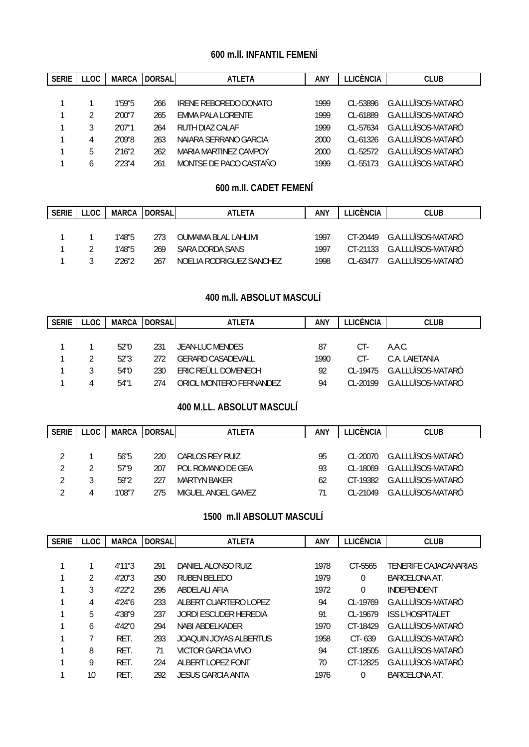## **600 m.ll. INFANTIL FEMENÍ**

| <b>SERIE</b> | LLOC. | <b>MARCA</b> | <b>DORSAL</b> | <b>ATLETA</b>          | <b>ANY</b> | LICÈNCIA.    | <b>CLUB</b>         |
|--------------|-------|--------------|---------------|------------------------|------------|--------------|---------------------|
|              |       |              |               |                        |            |              |                     |
|              |       | 1'59"5       | 266           | IRENE REBOREDO DONATO  | 1999       | $CI - 53896$ | G.A.LLUÏSOS-MATARÓ  |
|              |       | 2'00"7       | 265           | EMMA PALA LORENTE      | 1999       | CL-61889     | G.A.LLUÏSOS-MATARÓ  |
|              | 3     | 2'07"1       | 264           | RUTH DIAZ CALAF        | 1999       | $CI - 57634$ | G.A.LLUÏSOS-MATARÓ  |
|              | 4     | 2'09"8       | 263           | NAIARA SERRANO GARCIA  | 2000       | $CI - 61326$ | G.A.I LUÏSOS-MATARÓ |
|              | 5     | 2'16''2      | 262           | MARIA MARTINEZ CAMPOY  | 2000       | $CI - 52572$ | G.A.I LUÏSOS-MATARÓ |
|              | h     | 2'23"4       | 261           | MONTSE DE PACO CASTAÑO | 1999       | $CI - 55173$ | G.A.I LUÏSOS-MATARÓ |

### **600 m.ll. CADET FEMENÍ**

| <b>SERIE</b> | <b>LLOC</b> |        | MARCA IDORSALI | ATLETA                   | ANY  | I LICÈNCIA. | <b>CLUB</b>                  |
|--------------|-------------|--------|----------------|--------------------------|------|-------------|------------------------------|
|              |             |        |                |                          |      |             |                              |
|              |             | 1'48"5 | -273           | OUMAIMA BLAL LAHLIMI     | 1997 |             | CT-20449 G.A.I LUÏSOS-MATARÓ |
|              |             | 1'48"5 | 269            | SARA DORDA SANS          | 1997 |             | CT-21133 G.A.I LUÏSOS-MATARÓ |
|              |             | 2'26"2 | 267            | NOFLIA RODRIGUEZ SANCHEZ | 1998 |             | CL-63477 G.A.I LUÏSOS-MATARÓ |

# **400 m.ll. ABSOLUT MASCULÍ**

| <b>SERIE</b> | LLOC | MARCA | <b>IDORSALI</b> | <b>ATLETA</b>           | ANY  | LLICÈNCIA    | <b>CLUB</b>                  |
|--------------|------|-------|-----------------|-------------------------|------|--------------|------------------------------|
|              |      |       |                 |                         |      |              |                              |
|              |      | 52"0  | 231             | JEAN-LUC MENDES         | 87   | CT-          | A.A.C.                       |
|              |      | 52"3  | 272             | GERARD CASADEVALL       | 1990 | CT-          | C.A. LAIFTANIA               |
|              |      | 54"0  | 230             | ERIC REÜLL DOMENECH     | 92   |              | CL-19475 G.A.I LUÏSOS-MATARÓ |
|              | 4    | 54"1  | 274             | ORIOL MONTERO FERNANDEZ | 94   | $CI - 20199$ | G.A.I I UÏSOS-MATARÓ         |

## **400 M.LL. ABSOLUT MASCULÍ**

| <b>SERIE</b> | LLOC | MARCA  | <b>DORSAL</b> | <b>ATLETA</b>       | <b>ANY</b> | ∟LICÈNCIA    | <b>CLUB</b>                 |
|--------------|------|--------|---------------|---------------------|------------|--------------|-----------------------------|
|              |      |        |               |                     |            |              |                             |
|              |      | 56"5   | 220           | CARLOS REY RUIZ     | 95         |              | CL-20070 G.A.LLUÏSOS-MATARÓ |
| 2            |      | 57"9   | 207           | POL ROMANO DE GEA   | 93         | $CL - 18069$ | G.A.LLUÏSOS-MATARÓ          |
| 2            |      | 59"2   | 227           | <b>MARTYN BAKER</b> | 62         | CT-19382     | G.A.LLUÏSOS-MATARÓ          |
|              |      | 1'08"7 | 275           | MIGUEL ANGEL GAMEZ  |            | $CI - 21049$ | G.A.LLUÏSOS-MATARÓ          |

### **1500 m.ll ABSOLUT MASCULÍ**

| <b>SERIE</b> | LLOC. | <b>MARCA</b> | <b>DORSAL</b> | <b>ATLETA</b>          | <b>ANY</b> | <b>LLICÈNCIA</b> | <b>CLUB</b>             |
|--------------|-------|--------------|---------------|------------------------|------------|------------------|-------------------------|
|              |       |              |               |                        |            |                  |                         |
|              |       | 4'11"3       | 291           | DANIEL ALONSO RUIZ     | 1978       | CT-5565          | TENERIFE CAJACANARIAS   |
|              | 2     | 4'20''3      | 290           | RUBEN BELEDO           | 1979       | $\theta$         | BARCELONA AT.           |
|              | 3     | 4'22"2       | 295           | ABDELALI AFIA          | 1972       | $\theta$         | <b>INDEPENDENT</b>      |
|              | 4     | 4'24''6      | 233           | ALBERT CUARTERO LOPEZ  | 94         | $CI - 19769$     | G.A.I LUÏSOS-MATARÓ     |
|              | 5     | 4'38"9       | 237           | JORDI ESCUDER HEREDIA  | 91         | CL-19679         | <b>ISS L'HOSPITALET</b> |
|              | 6     | 4'42"0       | 294           | NABI ABDELKADER        | 1970       | CT-18429         | G.A.I LUÏSOS-MATARÓ     |
|              |       | RET.         | 293           | JOAOUIN JOYAS ALBERTUS | 1958       | $CT - 639$       | G.A.I LUÏSOS-MATARÓ     |
|              | 8     | RET.         | 71            | VICTOR GARCIA VIVO     | 94         | CT-18505         | G.A.LLUÏSOS-MATARÓ      |
|              | 9     | RFT.         | 224           | ALBERT LOPEZ FONT      | 70         | CT-12825         | G.A.LLUÏSOS-MATARÓ      |
|              | 10    | RET.         | 292           | JESUS GARCIA ANTA      | 1976       | $\theta$         | <b>BARCELONA AT.</b>    |